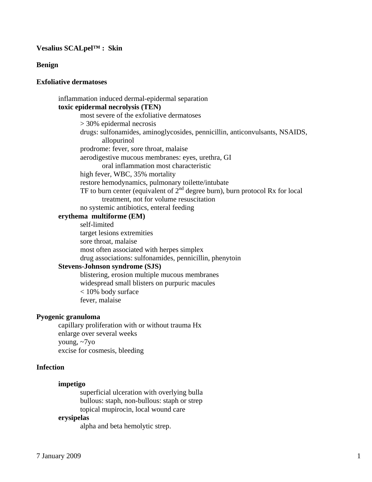## **Vesalius SCALpel™ : Skin**

**Benign** 

# **Exfoliative dermatoses**

 inflammation induced dermal-epidermal separation **toxic epidermal necrolysis (TEN)** 

> most severe of the exfoliative dermatoses > 30% epidermal necrosis drugs: sulfonamides, aminoglycosides, pennicillin, anticonvulsants, NSAIDS, allopurinol prodrome: fever, sore throat, malaise aerodigestive mucous membranes: eyes, urethra, GI oral inflammation most characteristic high fever, WBC, 35% mortality restore hemodynamics, pulmonary toilette/intubate TF to burn center (equivalent of  $2<sup>nd</sup>$  degree burn), burn protocol Rx for local treatment, not for volume resuscitation

no systemic antibiotics, enteral feeding

### **erythema multiforme (EM)**

 self-limited target lesions extremities sore throat, malaise most often associated with herpes simplex drug associations: sulfonamides, pennicillin, phenytoin

# **Stevens-Johnson syndrome (SJS)**

 blistering, erosion multiple mucous membranes widespread small blisters on purpuric macules < 10% body surface fever, malaise

#### **Pyogenic granuloma**

 capillary proliferation with or without trauma Hx enlarge over several weeks young, ~7yo excise for cosmesis, bleeding

## **Infection**

#### **impetigo**

 superficial ulceration with overlying bulla bullous: staph, non-bullous: staph or strep topical mupirocin, local wound care

#### **erysipelas**

alpha and beta hemolytic strep.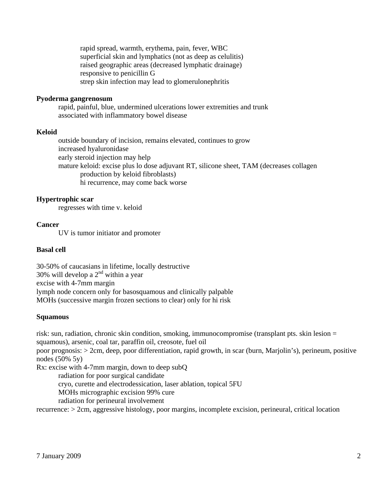rapid spread, warmth, erythema, pain, fever, WBC superficial skin and lymphatics (not as deep as celulitis) raised geographic areas (decreased lymphatic drainage) responsive to penicillin G strep skin infection may lead to glomerulonephritis

## **Pyoderma gangrenosum**

 rapid, painful, blue, undermined ulcerations lower extremities and trunk associated with inflammatory bowel disease

#### **Keloid**

 outside boundary of incision, remains elevated, continues to grow increased hyaluronidase early steroid injection may help mature keloid: excise plus lo dose adjuvant RT, silicone sheet, TAM (decreases collagen production by keloid fibroblasts) hi recurrence, may come back worse

#### **Hypertrophic scar**

regresses with time v. keloid

### **Cancer**

UV is tumor initiator and promoter

#### **Basal cell**

30-50% of caucasians in lifetime, locally destructive 30% will develop a  $2<sup>nd</sup>$  within a year excise with 4-7mm margin lymph node concern only for basosquamous and clinically palpable MOHs (successive margin frozen sections to clear) only for hi risk

#### **Squamous**

risk: sun, radiation, chronic skin condition, smoking, immunocompromise (transplant pts. skin lesion = squamous), arsenic, coal tar, paraffin oil, creosote, fuel oil

poor prognosis: > 2cm, deep, poor differentiation, rapid growth, in scar (burn, Marjolin's), perineum, positive nodes (50% 5y)

Rx: excise with 4-7mm margin, down to deep subQ

radiation for poor surgical candidate

cryo, curette and electrodessication, laser ablation, topical 5FU

MOHs micrographic excision 99% cure

radiation for perineural involvement

recurrence: > 2cm, aggressive histology, poor margins, incomplete excision, perineural, critical location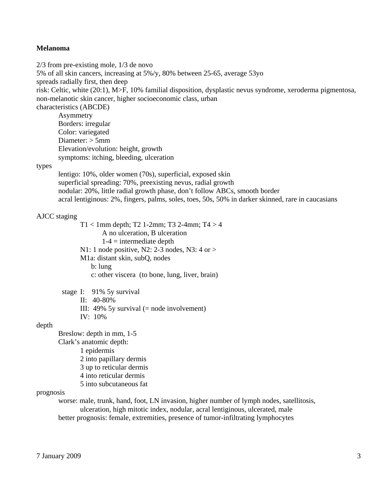### **Melanoma**

2/3 from pre-existing mole, 1/3 de novo 5% of all skin cancers, increasing at 5%/y, 80% between 25-65, average 53yo spreads radially first, then deep risk: Celtic, white (20:1), M>F, 10% familial disposition, dysplastic nevus syndrome, xeroderma pigmentosa, non-melanotic skin cancer, higher socioeconomic class, urban characteristics (ABCDE) Asymmetry Borders: irregular Color: variegated Diameter: > 5mm Elevation/evolution: height, growth symptoms: itching, bleeding, ulceration types lentigo: 10%, older women (70s), superficial, exposed skin superficial spreading: 70%, preexisting nevus, radial growth nodular: 20%, little radial growth phase, don't follow ABCs, smooth border acral lentiginous: 2%, fingers, palms, soles, toes, 50s, 50% in darker skinned, rare in caucasians AJCC staging  $T1 < 1$ mm depth; T2 1-2mm; T3 2-4mm; T4 > 4 A no ulceration, B ulceration  $1-4$  = intermediate depth N1: 1 node positive, N2: 2-3 nodes, N3: 4 or >

M1a: distant skin, subQ, nodes

b: lung

c: other viscera (to bone, lung, liver, brain)

 stage I: 91% 5y survival II: 40-80% III:  $49\%$  5y survival (= node involvement) IV: 10%

# depth

 Breslow: depth in mm, 1-5 Clark's anatomic depth: 1 epidermis 2 into papillary dermis 3 up to reticular dermis 4 into reticular dermis 5 into subcutaneous fat

### prognosis

 worse: male, trunk, hand, foot, LN invasion, higher number of lymph nodes, satellitosis, ulceration, high mitotic index, nodular, acral lentiginous, ulcerated, male better prognosis: female, extremities, presence of tumor-infiltrating lymphocytes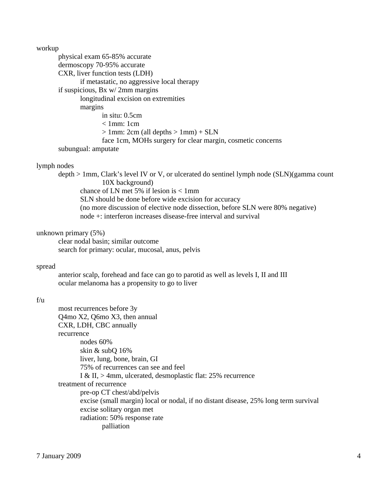workup

 physical exam 65-85% accurate dermoscopy 70-95% accurate CXR, liver function tests (LDH) if metastatic, no aggressive local therapy if suspicious, Bx w/ 2mm margins longitudinal excision on extremities margins in situ: 0.5cm  $< 1$ mm: 1cm  $> 1$ mm: 2cm (all depths  $> 1$ mm) + SLN face 1cm, MOHs surgery for clear margin, cosmetic concerns subungual: amputate

## lymph nodes

 depth > 1mm, Clark's level IV or V, or ulcerated do sentinel lymph node (SLN)(gamma count 10X background) chance of LN met 5% if lesion is < 1mm SLN should be done before wide excision for accuracy (no more discussion of elective node dissection, before SLN were 80% negative) node +: interferon increases disease-free interval and survival

## unknown primary (5%)

 clear nodal basin; similar outcome search for primary: ocular, mucosal, anus, pelvis

### spread

 anterior scalp, forehead and face can go to parotid as well as levels I, II and III ocular melanoma has a propensity to go to liver

# f/u

| most recurrences before 3y                                                          |
|-------------------------------------------------------------------------------------|
| Q4mo X2, Q6mo X3, then annual                                                       |
| CXR, LDH, CBC annually                                                              |
| recurrence                                                                          |
| nodes $60\%$                                                                        |
| skin $&$ subQ 16%                                                                   |
| liver, lung, bone, brain, GI                                                        |
| 75% of recurrences can see and feel                                                 |
| I & II, $>$ 4mm, ulcerated, desmoplastic flat: 25% recurrence                       |
| treatment of recurrence                                                             |
| pre-op CT chest/abd/pelvis                                                          |
| excise (small margin) local or nodal, if no distant disease, 25% long term survival |
| excise solitary organ met                                                           |
| radiation: 50% response rate                                                        |
| palliation                                                                          |
|                                                                                     |